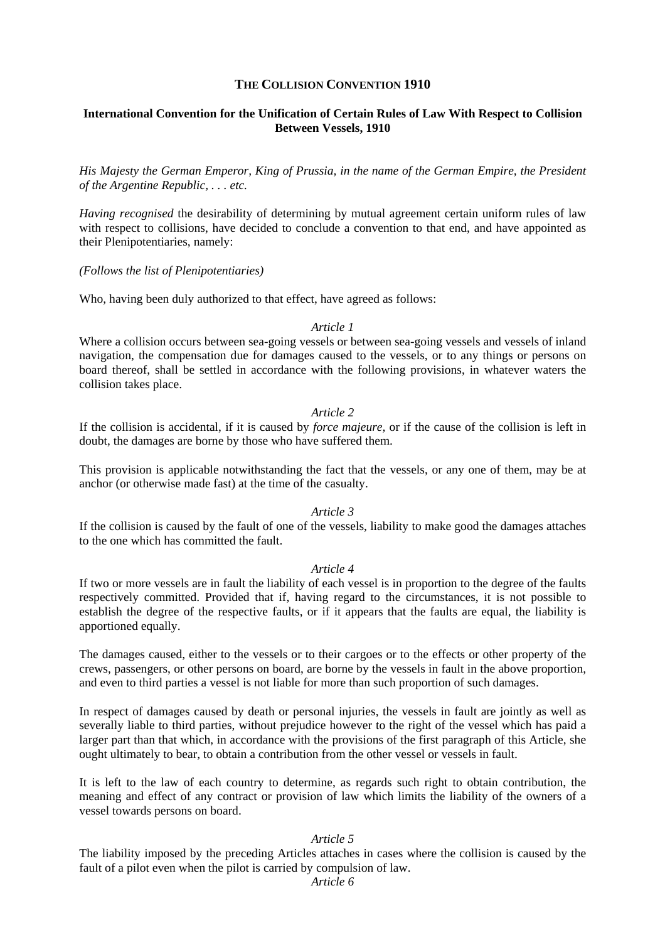# **THE COLLISION CONVENTION 1910**

# **International Convention for the Unification of Certain Rules of Law With Respect to Collision Between Vessels, 1910**

*His Majesty the German Emperor, King of Prussia, in the name of the German Empire, the President of the Argentine Republic, . . . etc.* 

*Having recognised* the desirability of determining by mutual agreement certain uniform rules of law with respect to collisions, have decided to conclude a convention to that end, and have appointed as their Plenipotentiaries, namely:

*(Follows the list of Plenipotentiaries)* 

Who, having been duly authorized to that effect, have agreed as follows:

## *Article 1*

Where a collision occurs between sea-going vessels or between sea-going vessels and vessels of inland navigation, the compensation due for damages caused to the vessels, or to any things or persons on board thereof, shall be settled in accordance with the following provisions, in whatever waters the collision takes place.

# *Article 2*

If the collision is accidental, if it is caused by *force majeure,* or if the cause of the collision is left in doubt, the damages are borne by those who have suffered them.

This provision is applicable notwithstanding the fact that the vessels, or any one of them, may be at anchor (or otherwise made fast) at the time of the casualty.

# *Article 3*

If the collision is caused by the fault of one of the vessels, liability to make good the damages attaches to the one which has committed the fault.

## *Article 4*

If two or more vessels are in fault the liability of each vessel is in proportion to the degree of the faults respectively committed. Provided that if, having regard to the circumstances, it is not possible to establish the degree of the respective faults, or if it appears that the faults are equal, the liability is apportioned equally.

The damages caused, either to the vessels or to their cargoes or to the effects or other property of the crews, passengers, or other persons on board, are borne by the vessels in fault in the above proportion, and even to third parties a vessel is not liable for more than such proportion of such damages.

In respect of damages caused by death or personal injuries, the vessels in fault are jointly as well as severally liable to third parties, without prejudice however to the right of the vessel which has paid a larger part than that which, in accordance with the provisions of the first paragraph of this Article, she ought ultimately to bear, to obtain a contribution from the other vessel or vessels in fault.

It is left to the law of each country to determine, as regards such right to obtain contribution, the meaning and effect of any contract or provision of law which limits the liability of the owners of a vessel towards persons on board.

# *Article 5*

The liability imposed by the preceding Articles attaches in cases where the collision is caused by the fault of a pilot even when the pilot is carried by compulsion of law.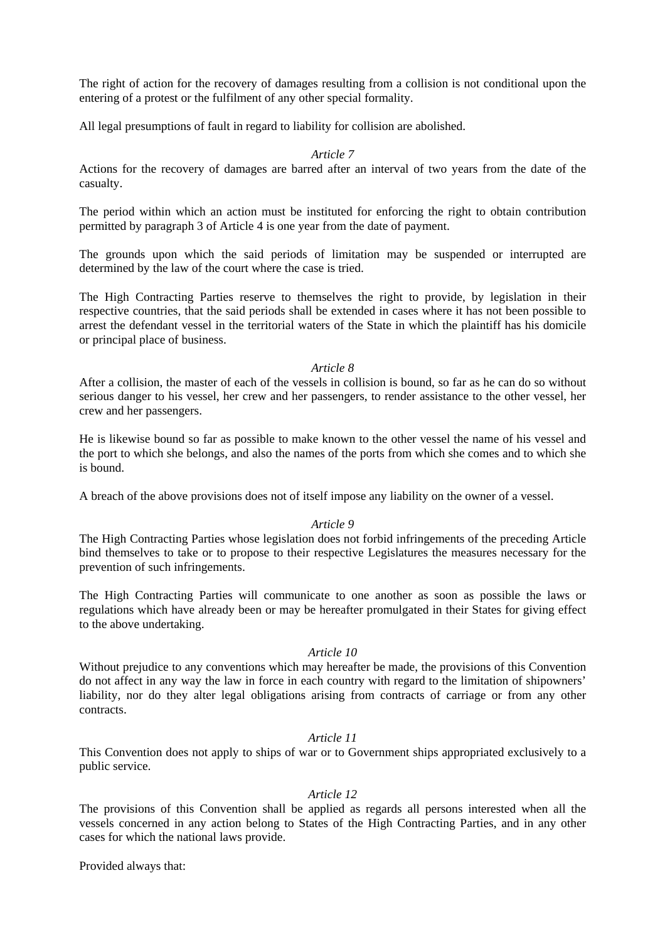The right of action for the recovery of damages resulting from a collision is not conditional upon the entering of a protest or the fulfilment of any other special formality.

All legal presumptions of fault in regard to liability for collision are abolished.

## *Article 7*

Actions for the recovery of damages are barred after an interval of two years from the date of the casualty.

The period within which an action must be instituted for enforcing the right to obtain contribution permitted by paragraph 3 of Article 4 is one year from the date of payment.

The grounds upon which the said periods of limitation may be suspended or interrupted are determined by the law of the court where the case is tried.

The High Contracting Parties reserve to themselves the right to provide, by legislation in their respective countries, that the said periods shall be extended in cases where it has not been possible to arrest the defendant vessel in the territorial waters of the State in which the plaintiff has his domicile or principal place of business.

#### *Article 8*

After a collision, the master of each of the vessels in collision is bound, so far as he can do so without serious danger to his vessel, her crew and her passengers, to render assistance to the other vessel, her crew and her passengers.

He is likewise bound so far as possible to make known to the other vessel the name of his vessel and the port to which she belongs, and also the names of the ports from which she comes and to which she is bound.

A breach of the above provisions does not of itself impose any liability on the owner of a vessel.

## *Article 9*

The High Contracting Parties whose legislation does not forbid infringements of the preceding Article bind themselves to take or to propose to their respective Legislatures the measures necessary for the prevention of such infringements.

The High Contracting Parties will communicate to one another as soon as possible the laws or regulations which have already been or may be hereafter promulgated in their States for giving effect to the above undertaking.

#### *Article 10*

Without prejudice to any conventions which may hereafter be made, the provisions of this Convention do not affect in any way the law in force in each country with regard to the limitation of shipowners' liability, nor do they alter legal obligations arising from contracts of carriage or from any other contracts.

## *Article 11*

This Convention does not apply to ships of war or to Government ships appropriated exclusively to a public service.

## *Article 12*

The provisions of this Convention shall be applied as regards all persons interested when all the vessels concerned in any action belong to States of the High Contracting Parties, and in any other cases for which the national laws provide.

Provided always that: